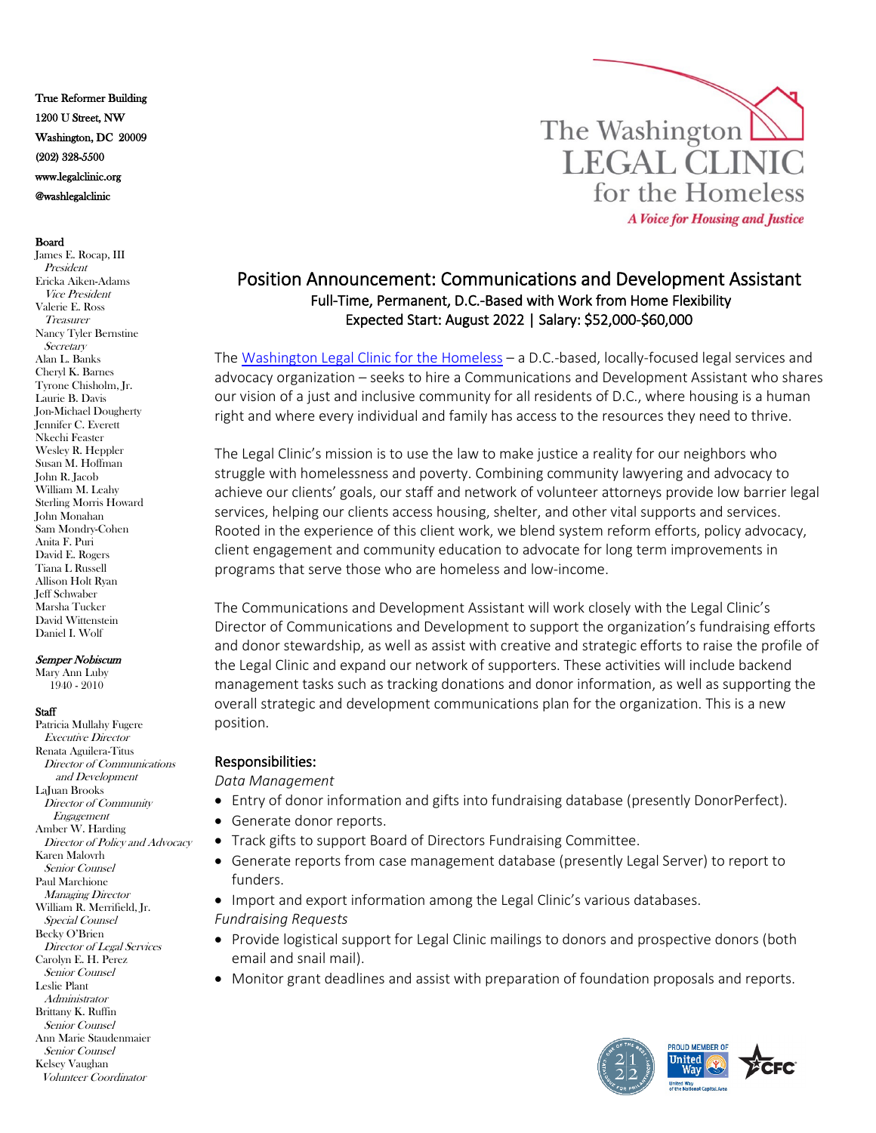True Reformer Building 1200 U Street, NW Washington, DC 20009 (202) 328-5500 www.legalclinic.org @washlegalclinic

### Board

James E. Rocap, III President Ericka Aiken-Adams Vice President Valerie E. Ross Treasurer Nancy Tyler Bernstine **Secretary** Alan L. Banks Cheryl K. Barnes Tyrone Chisholm, Jr. Laurie B. Davis Jon-Michael Dougherty Jennifer C. Everett Nkechi Feaster Wesley R. Heppler Susan M. Hoffman John R. Jacob William M. Leahy Sterling Morris Howard John Monahan Sam Mondry-Cohen Anita F. Puri David E. Rogers Tiana L Russell Allison Holt Ryan Jeff Schwaber Marsha Tucker David Wittenstein Daniel I. Wolf

### Semper Nobiscum

Mary Ann Luby 1940 - 2010

#### **Staff**

Patricia Mullahy Fugere Executive Director Renata Aguilera-Titus Director of Communications and Development LaJuan Brooks Director of Community Engagement Amber W. Harding Director of Policy and Advocacy Karen Malovrh Senior Counsel Paul Marchione Managing Director William R. Merrifield, Jr. Special Counsel Becky O'Brien Director of Legal Services Carolyn E. H. Perez Senior Counsel Leslie Plant Administrator Brittany K. Ruffin Senior Counsel Ann Marie Staudenmaier Senior Counsel Kelsey Vaughan Volunteer Coordinator



# Position Announcement: Communications and Development Assistant Full-Time, Permanent, D.C.-Based with Work from Home Flexibility Expected Start: August 2022 | Salary: \$52,000-\$60,000

The [Washington Legal Clinic for the Homeless](http://www.legalclinic.org/) – a D.C.-based, locally-focused legal services and advocacy organization – seeks to hire a Communications and Development Assistant who shares our vision of a just and inclusive community for all residents of D.C., where housing is a human right and where every individual and family has access to the resources they need to thrive.

The Legal Clinic's mission is to use the law to make justice a reality for our neighbors who struggle with homelessness and poverty. Combining community lawyering and advocacy to achieve our clients' goals, our staff and network of volunteer attorneys provide low barrier legal services, helping our clients access housing, shelter, and other vital supports and services. Rooted in the experience of this client work, we blend system reform efforts, policy advocacy, client engagement and community education to advocate for long term improvements in programs that serve those who are homeless and low-income.

The Communications and Development Assistant will work closely with the Legal Clinic's Director of Communications and Development to support the organization's fundraising efforts and donor stewardship, as well as assist with creative and strategic efforts to raise the profile of the Legal Clinic and expand our network of supporters. These activities will include backend management tasks such as tracking donations and donor information, as well as supporting the overall strategic and development communications plan for the organization. This is a new position.

## Responsibilities:

*Data Management*

- Entry of donor information and gifts into fundraising database (presently DonorPerfect).
- Generate donor reports.
- Track gifts to support Board of Directors Fundraising Committee.
- Generate reports from case management database (presently Legal Server) to report to funders.

• Import and export information among the Legal Clinic's various databases. *Fundraising Requests*

- Provide logistical support for Legal Clinic mailings to donors and prospective donors (both email and snail mail).
- Monitor grant deadlines and assist with preparation of foundation proposals and reports.